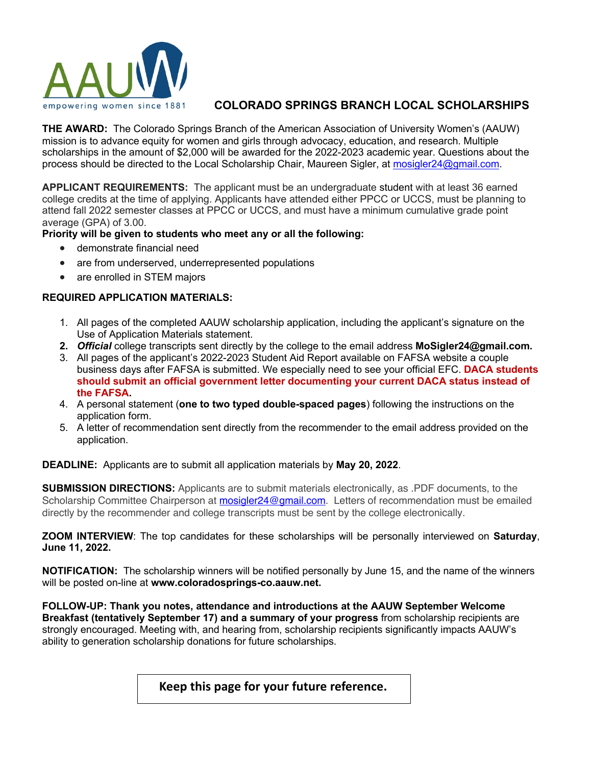

# empowering women since 1881 **COLORADO SPRINGS BRANCH LOCAL SCHOLARSHIPS**

**THE AWARD:** The Colorado Springs Branch of the American Association of University Women's (AAUW) mission is to advance equity for women and girls through advocacy, education, and research. Multiple scholarships in the amount of \$2,000 will be awarded for the 2022-2023 academic year. Questions about the process should be directed to the Local Scholarship Chair, Maureen Sigler, at mosigler24@gmail.com.

**APPLICANT REQUIREMENTS:** The applicant must be an undergraduate student with at least 36 earned college credits at the time of applying. Applicants have attended either PPCC or UCCS, must be planning to attend fall 2022 semester classes at PPCC or UCCS, and must have a minimum cumulative grade point average (GPA) of 3.00.

## **Priority will be given to students who meet any or all the following:**

- demonstrate financial need
- are from underserved, underrepresented populations
- are enrolled in STEM majors

## **REQUIRED APPLICATION MATERIALS:**

- 1. All pages of the completed AAUW scholarship application, including the applicant's signature on the Use of Application Materials statement.
- **2.** *Official* college transcripts sent directly by the college to the email address **MoSigler24@gmail.com.**
- 3. All pages of the applicant's 2022-2023 Student Aid Report available on FAFSA website a couple business days after FAFSA is submitted. We especially need to see your official EFC. **DACA students should submit an official government letter documenting your current DACA status instead of the FAFSA.**
- 4. A personal statement (**one to two typed double-spaced pages**) following the instructions on the application form.
- 5. A letter of recommendation sent directly from the recommender to the email address provided on the application.

## **DEADLINE:** Applicants are to submit all application materials by **May 20, 2022**.

**SUBMISSION DIRECTIONS:** Applicants are to submit materials electronically, as .PDF documents, to the Scholarship Committee Chairperson at mosigler24@gmail.com. Letters of recommendation must be emailed directly by the recommender and college transcripts must be sent by the college electronically.

**ZOOM INTERVIEW**: The top candidates for these scholarships will be personally interviewed on **Saturday**, **June 11, 2022.**

**NOTIFICATION:** The scholarship winners will be notified personally by June 15, and the name of the winners will be posted on-line at **www.coloradosprings-co.aauw.net.**

**FOLLOW-UP: Thank you notes, attendance and introductions at the AAUW September Welcome Breakfast (tentatively September 17) and a summary of your progress** from scholarship recipients are strongly encouraged. Meeting with, and hearing from, scholarship recipients significantly impacts AAUW's ability to generation scholarship donations for future scholarships.

# **Keep this page for your future reference.**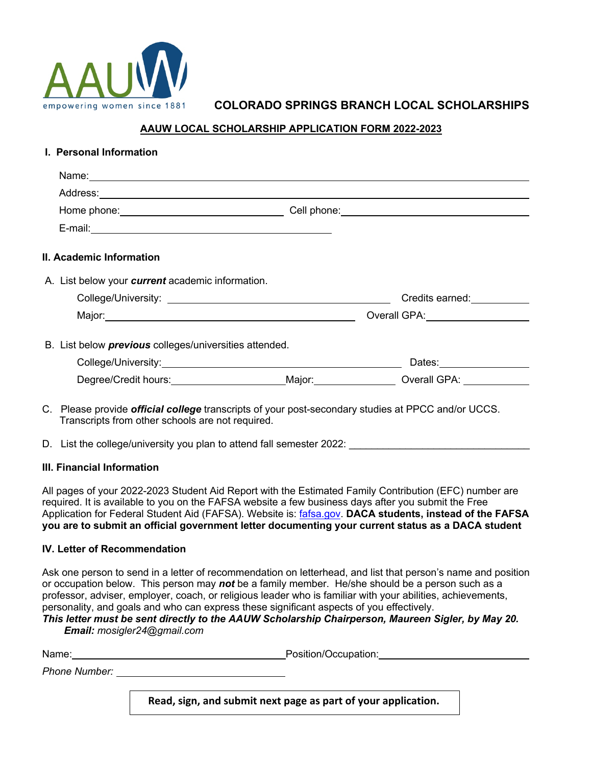

# empowering women since 1881 **COLORADO SPRINGS BRANCH LOCAL SCHOLARSHIPS**

### **AAUW LOCAL SCHOLARSHIP APPLICATION FORM 2022-2023**

| Name: Name: Name: Name: Name: Name: Name: Name: Name: Name: Name: Name: Name: Name: Name: Name: Name: Name: Name: Name: Name: Name: Name: Name: Name: Name: Name: Name: Name: Name: Name: Name: Name: Name: Name: Name: Name: |                                                                                                                                                                                                                                |
|-------------------------------------------------------------------------------------------------------------------------------------------------------------------------------------------------------------------------------|--------------------------------------------------------------------------------------------------------------------------------------------------------------------------------------------------------------------------------|
|                                                                                                                                                                                                                               |                                                                                                                                                                                                                                |
|                                                                                                                                                                                                                               |                                                                                                                                                                                                                                |
|                                                                                                                                                                                                                               |                                                                                                                                                                                                                                |
| II. Academic Information                                                                                                                                                                                                      |                                                                                                                                                                                                                                |
| A. List below your <i>current</i> academic information.                                                                                                                                                                       |                                                                                                                                                                                                                                |
|                                                                                                                                                                                                                               |                                                                                                                                                                                                                                |
|                                                                                                                                                                                                                               | Overall GPA: North State State State State State State State State State State State State State State State State State State State State State State State State State State State State State State State State State State |
| B. List below <i>previous</i> colleges/universities attended.                                                                                                                                                                 |                                                                                                                                                                                                                                |
|                                                                                                                                                                                                                               | Dates: Dates:                                                                                                                                                                                                                  |
|                                                                                                                                                                                                                               | Degree/Credit hours: Major: Major: Overall GPA:                                                                                                                                                                                |

- C. Please provide *official college* transcripts of your post-secondary studies at PPCC and/or UCCS. Transcripts from other schools are not required.
- D. List the college/university you plan to attend fall semester 2022:

#### **III. Financial Information**

All pages of your 2022-2023 Student Aid Report with the Estimated Family Contribution (EFC) number are required. It is available to you on the FAFSA website a few business days after you submit the Free Application for Federal Student Aid (FAFSA). Website is: fafsa.gov. **DACA students, instead of the FAFSA you are to submit an official government letter documenting your current status as a DACA student** 

#### **IV. Letter of Recommendation**

Ask one person to send in a letter of recommendation on letterhead, and list that person's name and position or occupation below. This person may *not* be a family member. He/she should be a person such as a professor, adviser, employer, coach, or religious leader who is familiar with your abilities, achievements, personality, and goals and who can express these significant aspects of you effectively.

#### *This letter must be sent directly to the AAUW Scholarship Chairperson, Maureen Sigler, by May 20. Email: mosigler24@gmail.com*

Name: example and the example of the example of the Position/Occupation: *Phone Number:* 

**Read, sign, and submit next page as part of your application.**